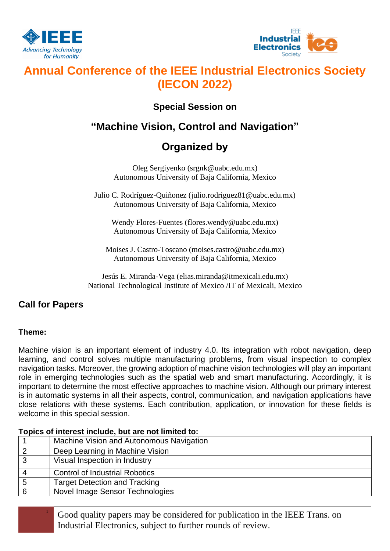



# **Annual Conference of the IEEE Industrial Electronics Society (IECON 2022)**

## **Special Session on**

## **"Machine Vision, Control and Navigation"**

# **Organized by**

Oleg Sergiyenko (srgnk@uabc.edu.mx) Autonomous University of Baja California, Mexico

Julio C. Rodríguez-Quiñonez (julio.rodriguez81@uabc.edu.mx) Autonomous University of Baja California, Mexico

Wendy Flores-Fuentes (flores.wendy@uabc.edu.mx) Autonomous University of Baja California, Mexico

Moises J. Castro-Toscano (moises.castro@uabc.edu.mx) Autonomous University of Baja California, Mexico

Jesús E. Miranda-Vega (elias.miranda@itmexicali.edu.mx) National Technological Institute of Mexico /IT of Mexicali, Mexico

## **Call for Papers**

### **Theme:**

Machine vision is an important element of industry 4.0. Its integration with robot navigation, deep learning, and control solves multiple manufacturing problems, from visual inspection to complex navigation tasks. Moreover, the growing adoption of machine vision technologies will play an important role in emerging technologies such as the spatial web and smart manufacturing. Accordingly, it is important to determine the most effective approaches to machine vision. Although our primary interest is in automatic systems in all their aspects, control, communication, and navigation applications have close relations with these systems. Each contribution, application, or innovation for these fields is welcome in this special session.

### **Topics of interest include, but are not limited to:**  1 Machine Vision and Autonomous Navigation 2 | Deep Learning in Machine Vision 3 Visual Inspection in Industry 4 Control of Industrial Robotics 5 Target Detection and Tracking 6 Novel Image Sensor Technologies

<sup>1</sup> Good quality papers may be considered for publication in the IEEE Trans. on Industrial Electronics, subject to further rounds of review.